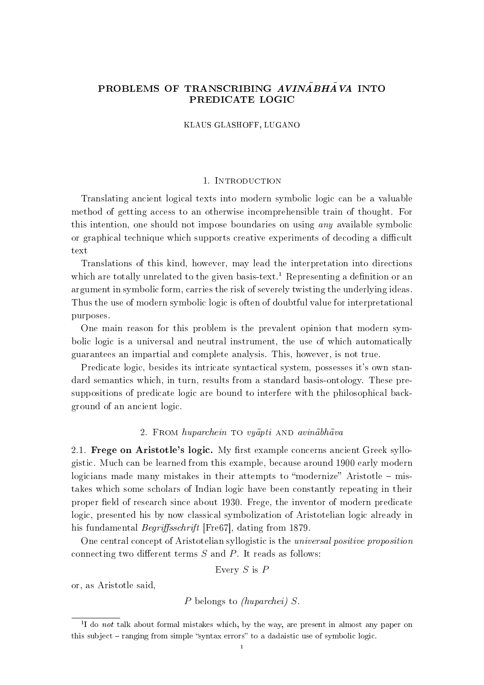# PROBLEMS OF TRANSCRIBING  $AVIN\overline{A}BH\overline{A}VA$  INTO PREDICATE LOGIC

KLAUS GLASHOFF, LUGANO

### 1. Introduction

Translating ancient logical texts into modern symbolic logic can be a valuable method of getting access to an otherwise incomprehensible train of thought. For this intention, one should not impose boundaries on using any available symbolic or graphical technique which supports creative experiments of decoding a difficult text

Translations of this kind, however, may lead the interpretation into directions which are totally unrelated to the given basis-text.<sup>1</sup> Representing a definition or an argument in symbolic form, carries the risk of severely twisting the underlying ideas. Thus the use of modern symbolic logic is often of doubtful value for interpretational purposes.

One main reason for this problem is the prevalent opinion that modern symbolic logic is a universal and neutral instrument, the use of which automatically guarantees an impartial and complete analysis. This, however, is not true.

Predicate logic, besides its intricate syntactical system, possesses it's own standard semantics which, in turn, results from a standard basis-ontology. These presuppositions of predicate logic are bound to interfere with the philosophical background of an ancient logic.

# 2. FROM  $huparchein$  to  $vufanti$  AND  $avin\bar{a}bh\bar{a}va$

2.1. Frege on Aristotle's logic. My first example concerns ancient Greek syllogistic. Much can be learned from this example, because around 1900 early modern logicians made many mistakes in their attempts to "modernize" Aristotle  $-$  mistakes which some scholars of Indian logic have been constantly repeating in their proper field of research since about 1930. Frege, the inventor of modern predicate logic, presented his by now classical symbolization of Aristotelian logic already in his fundamental *Begriffsschrift* [Fre67], dating from 1879.

One central concept of Aristotelian syllogistic is the universal positive proposition connecting two different terms  $S$  and  $P$ . It reads as follows:

Every 
$$
S
$$
 is  $P$ 

or, as Aristotle said,

```
P belongs to (huparchei) S.
```
<sup>&</sup>lt;sup>1</sup>I do *not* talk about formal mistakes which, by the way, are present in almost any paper on this subject  $-$  ranging from simple "syntax errors" to a dadaistic use of symbolic logic.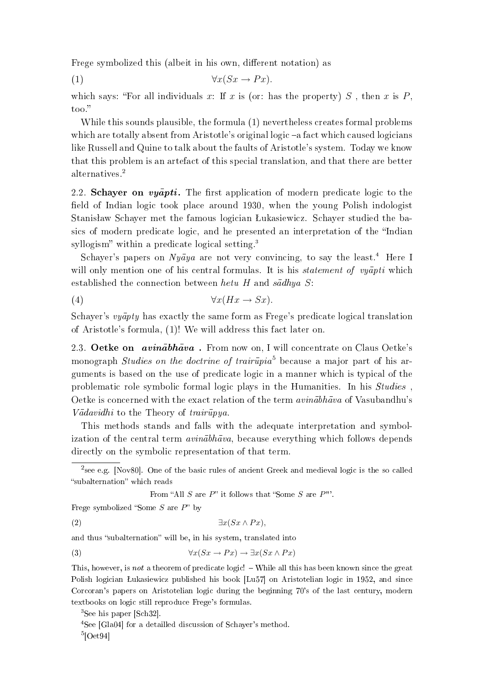Frege symbolized this (albeit in his own, different notation) as

(1) ∀x(Sx → P x).

which says: "For all individuals x: If x is (or: has the property) S, then x is P, too.

While this sounds plausible, the formula (1) nevertheless creates formal problems which are totally absent from Aristotle's original logic  $-a$  fact which caused logicians like Russell and Quine to talk about the faults of Aristotle's system. Today we know that this problem is an artefact of this special translation, and that there are better alternatives.<sup>2</sup>

2.2. Schayer on  $v\bar{u}$   $\bar{v}$  and  $\bar{v}$  are first application of modern predicate logic to the field of Indian logic took place around 1930, when the young Polish indologist Stanisław Schayer met the famous logician Łukasiewicz. Schayer studied the basics of modern predicate logic, and he presented an interpretation of the "Indian syllogism" within a predicate logical setting. $3$ 

Schayer's papers on  $Nu\bar{a}ya$  are not very convincing, to say the least.<sup>4</sup> Here I will only mention one of his central formulas. It is his *statement of vyapti* which established the connection between hetu H and  $s\bar{a}dhyaS$ :

(4) ∀x(Hx → Sx).

Schayer's  $v\bar{u}$  at exactly the same form as Frege's predicate logical translation of Aristotle's formula, (1)! We will address this fact later on.

2.3. Oetke on  $\arcsin \bar{a}$  on  $\arcsin \bar{a}$ . From now on, I will concentrate on Claus Oetke's monograph *Studies on the doctrine of trairupia*<sup>5</sup> because a major part of his arguments is based on the use of predicate logic in a manner which is typical of the problematic role symbolic formal logic plays in the Humanities. In his Studies , Oetke is concerned with the exact relation of the term  $\alpha$  *undiblation* of Vasubandhu's  $V\bar{a}davidhi$  to the Theory of trair $\bar{u}pya$ .

This methods stands and falls with the adequate interpretation and symbolization of the central term  $\alpha \text{v} \text{in} \bar{\alpha}$  because everything which follows depends directly on the symbolic representation of that term.

 $^2$ see e.g. [Nov80]. One of the basic rules of ancient Greek and medieval logic is the so called "subalternation" which reads

From "All S are  $P$ " it follows that "Some S are  $P$ "'.

Frege symbolized "Some  $S$  are  $P$ " by

(2)  $\exists x (Sx \wedge Px),$ 

and thus "subalternation" will be, in his system, translated into

(3) 
$$
\forall x (Sx \to Px) \to \exists x (Sx \land Px)
$$

This, however, is not a theorem of predicate logic! – While all this has been known since the great Polish logician Łukasiewicz published his book [Lu57] on Aristotelian logic in 1952, and since Corcoran's papers on Aristotelian logic during the beginning 70's of the last century, modern textbooks on logic still reproduce Frege's formulas.

<sup>3</sup>See his paper [Sch32].

<sup>4</sup>See [Gla04] for a detailled discussion of Schayer's method.  $5$ [Oet94]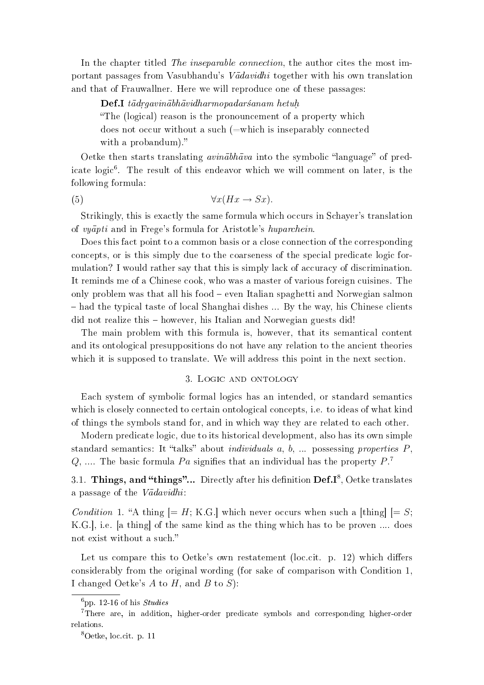In the chapter titled The inseparable connection, the author cites the most important passages from Vasubhandu's  $V\bar{a}davidhi$  together with his own translation and that of Frauwallner. Here we will reproduce one of these passages:

 $\mathbf{Def.}$ I tādragvinābhāvidharmopadaršanam hetuh.

The (logical) reason is the pronouncement of a property which

does not occur without a such (=which is inseparably connected with a probandum)."

Oetke then starts translating *avinabhava* into the symbolic "language" of predicate logic<sup>6</sup>. The result of this endeavor which we will comment on later, is the following formula:

(5)  $\forall x (Hx \rightarrow Sx).$ 

Strikingly, this is exactly the same formula which occurs in Schayer's translation of vyapti and in Frege's formula for Aristotle's huparchein.

Does this fact point to a common basis or a close connection of the corresponding concepts, or is this simply due to the coarseness of the special predicate logic formulation? I would rather say that this is simply lack of accuracy of discrimination. It reminds me of a Chinese cook, who was a master of various foreign cuisines. The only problem was that all his food even Italian spaghetti and Norwegian salmon  $heta$  had the typical taste of local Shanghai dishes  $\ldots$  By the way, his Chinese clients did not realize this – however, his Italian and Norwegian guests did!

The main problem with this formula is, however, that its semantical content and its ontological presuppositions do not have any relation to the ancient theories which it is supposed to translate. We will address this point in the next section.

### 3. Logic and ontology

Each system of symbolic formal logics has an intended, or standard semantics which is closely connected to certain ontological concepts, i.e. to ideas of what kind of things the symbols stand for, and in which way they are related to each other.

Modern predicate logic, due to its historical development, also has its own simple standard semantics: It "talks" about *individuals a, b, ...* possessing properties  $P$ , Q, .... The basic formula Pa signifies that an individual has the property  $P^7$ .

3.1.  $\bf Things,$  and "things"... Directly after his definition  $\bf Def.I^8,$   $\rm Oetke$  translates a passage of the  $V\bar{a}davidhi$ :

*Condition* 1. "A thing  $[= H; K.G.]$  which never occurs when such a [thing]  $[= S;$ K.G.], i.e. [a thing] of the same kind as the thing which has to be proven .... does not exist without a such.

Let us compare this to Oetke's own restatement (loc.cit. p. 12) which differs considerably from the original wording (for sake of comparison with Condition 1, I changed Oetke's  $A$  to  $H$ , and  $B$  to  $S$ ):

 $6_{\text{DD}}$ , 12-16 of his *Studies* 

<sup>&</sup>lt;sup>7</sup>There are, in addition, higher-order predicate symbols and corresponding higher-order relations.

<sup>8</sup>Oetke, loc.cit. p. 11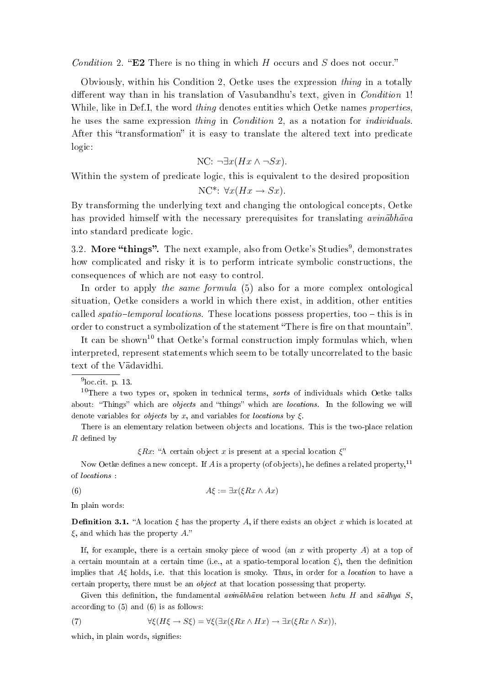Condition 2. "E2 There is no thing in which  $H$  occurs and  $S$  does not occur."

Obviously, within his Condition 2, Oetke uses the expression thing in a totally different way than in his translation of Vasubandhu's text, given in *Condition* 1! While, like in Def.I, the word *thing* denotes entities which Oetke names *properties*, he uses the same expression thing in Condition 2, as a notation for individuals. After this "transformation" it is easy to translate the altered text into predicate logic:

$$
NC: \neg \exists x (Hx \land \neg Sx).
$$

Within the system of predicate logic, this is equivalent to the desired proposition

$$
NC^* \colon \forall x (Hx \to Sx).
$$

By transforming the underlying text and changing the ontological concepts, Oetke has provided himself with the necessary prerequisites for translating  $\alpha \nu \dot{n} \bar{a} b \bar{h} \bar{a} v \bar{a}$ into standard predicate logic.

3.2. More "things". The next example, also from Oetke's Studies $^9$ , demonstrates how complicated and risky it is to perform intricate symbolic constructions, the consequences of which are not easy to control.

In order to apply the same formula (5) also for a more complex ontological situation, Oetke considers a world in which there exist, in addition, other entities called *spatio-temporal locations*. These locations possess properties, too  $-$  this is in order to construct a symbolization of the statement "There is fire on that mountain".

It can be shown<sup>10</sup> that Oetke's formal construction imply formulas which, when interpreted, represent statements which seem to be totally uncorrelated to the basic text of the Vadavidhi.

There is an elementary relation between objects and locations. This is the two-place relation  $R$  defined by

 $\epsilon Rx$ : "A certain object x is present at a special location  $\epsilon$ "

Now Oetke defines a new concept. If A is a property (of objects), he defines a related property,<sup>11</sup> of locations :

(6) 
$$
A\xi := \exists x (\xi Rx \wedge Ax)
$$

In plain words:

**Definition 3.1.** "A location  $\xi$  has the property A, if there exists an object x which is located at  $\xi$ , and which has the property A."

If, for example, there is a certain smoky piece of wood (an  $x$  with property  $A$ ) at a top of a certain mountain at a certain time (i.e., at a spatio-temporal location  $\xi$ ), then the definition implies that  $A\xi$  holds, i.e. that this location is smoky. Thus, in order for a *location* to have a certain property, there must be an object at that location possessing that property.

Given this definition, the fundamental *avinabhava* relation between *hetu H* and sadhya S, according to (5) and (6) is as follows:

(7) 
$$
\forall \xi (H\xi \to S\xi) = \forall \xi (\exists x (\xi Rx \land Hx) \to \exists x (\xi Rx \land Sx)),
$$

which, in plain words, signifies:

 $^{9}$ loc.cit. p. 13.

 $10$ There a two types or, spoken in technical terms, sorts of individuals which Oetke talks about: "Things" which are *objects* and "things" which are *locations*. In the following we will denote variables for *objects* by x, and variables for *locations* by  $\xi$ .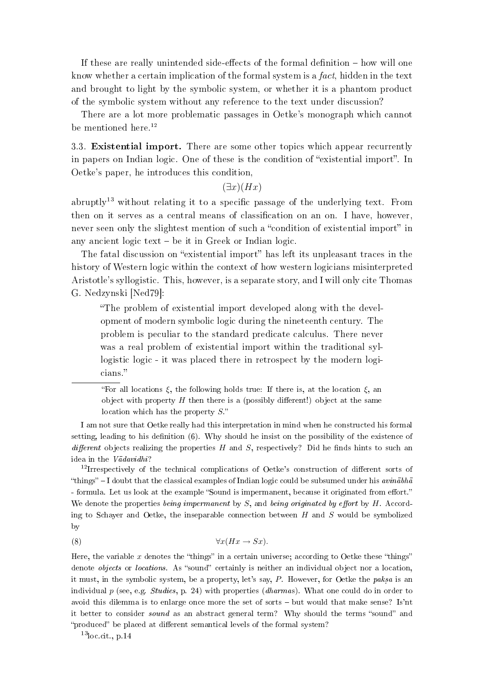If these are really unintended side-effects of the formal definition  $-$  how will one know whether a certain implication of the formal system is a fact, hidden in the text and brought to light by the symbolic system, or whether it is a phantom product of the symbolic system without any reference to the text under discussion?

There are a lot more problematic passages in Oetke's monograph which cannot be mentioned here. $12$ 

3.3. Existential import. There are some other topics which appear recurrently in papers on Indian logic. One of these is the condition of "existential import". In Oetke's paper, he introduces this condition,

 $(\exists x)(Hx)$ 

abruptly<sup>13</sup> without relating it to a specific passage of the underlying text. From then on it serves as a central means of classification on an on. I have, however, never seen only the slightest mention of such a "condition of existential import" in any ancient logic text  $\sim$  be it in Greek or Indian logic.

The fatal discussion on "existential import" has left its unpleasant traces in the history of Western logic within the context of how western logicians misinterpreted Aristotle's syllogistic. This, however, is a separate story, and I will only cite Thomas G. Nedzynski [Ned79]:

The problem of existential import developed along with the development of modern symbolic logic during the nineteenth century. The problem is peculiar to the standard predicate calculus. There never was a real problem of existential import within the traditional syllogistic logic - it was placed there in retrospect by the modern logicians.

"For all locations ξ, the following holds true: If there is, at the location ξ, an object with property  $H$  then there is a (possibly different!) object at the same location which has the property  $S$ ."

I am not sure that Oetke really had this interpretation in mind when he constructed his formal setting, leading to his definition (6). Why should he insist on the possibility of the existence of different objects realizing the properties H and S, respectively? Did he finds hints to such an idea in the  $V\bar{a}davidhi$ ?

 $12$ Irrespectively of the technical complications of Oetke's construction of different sorts of "things"  $-1$  doubt that the classical examples of Indian logic could be subsumed under his *avinabha* - formula. Let us look at the example "Sound is impermanent, because it originated from effort." We denote the properties being impermanent by  $S$ , and being originated by effort by  $H$ . According to Schayer and Oetke, the inseparable connection between  $H$  and  $S$  would be symbolized by

$$
\forall x (Hx \to Sx).
$$

Here, the variable x denotes the "things" in a certain universe; according to Oetke these "things" denote *objects* or *locations*. As "sound" certainly is neither an individual object nor a location, it must, in the symbolic system, be a property, let's say,  $P$ . However, for Oetke the paksa is an individual p (see, e.g. *Studies*, p. 24) with properties (*dharmas*). What one could do in order to avoid this dilemma is to enlarge once more the set of sorts  $-$  but would that make sense? Is'nt it better to consider *sound* as an abstract general term? Why should the terms "sound" and "produced" be placed at different semantical levels of the formal system?

 $13$ loc.cit., p.14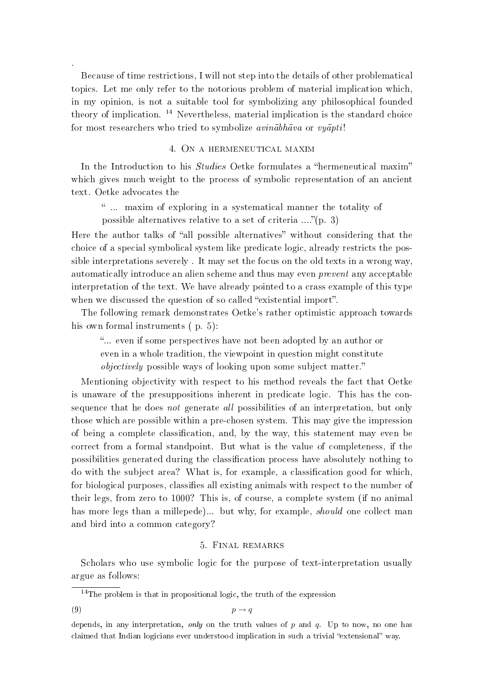Because of time restrictions, I will not step into the details of other problematical topics. Let me only refer to the notorious problem of material implication which, in my opinion, is not a suitable tool for symbolizing any philosophical founded theory of implication.  $14$  Nevertheless, material implication is the standard choice for most researchers who tried to symbolize  $\alpha \nu \bar{n} \bar{\alpha} b h \bar{\alpha} \nu \alpha$  or  $\nu \nu \bar{\alpha} p t i!$ 

## 4. On a hermeneutical maxim

In the Introduction to his *Studies* Oetke formulates a "hermeneutical maxim" which gives much weight to the process of symbolic representation of an ancient text. Oetke advocates the

 ... maxim of exploring in a systematical manner the totality of possible alternatives relative to a set of criteria  $\ldots$ <sup>"</sup>(p. 3)

Here the author talks of "all possible alternatives" without considering that the choice of a special symbolical system like predicate logic, already restricts the possible interpretations severely . It may set the focus on the old texts in a wrong way, automatically introduce an alien scheme and thus may even prevent any acceptable interpretation of the text. We have already pointed to a crass example of this type when we discussed the question of so called "existential import".

The following remark demonstrates Oetke's rather optimistic approach towards his own formal instruments (p. 5):

... even if some perspectives have not been adopted by an author or even in a whole tradition, the viewpoint in question might constitute objectively possible ways of looking upon some subject matter.

Mentioning objectivity with respect to his method reveals the fact that Oetke is unaware of the presuppositions inherent in predicate logic. This has the consequence that he does *not* generate all possibilities of an interpretation, but only those which are possible within a pre-chosen system. This may give the impression of being a complete classification, and, by the way, this statement may even be correct from a formal standpoint. But what is the value of completeness, if the possibilities generated during the classification process have absolutely nothing to do with the subject area? What is, for example, a classication good for which, for biological purposes, classifies all existing animals with respect to the number of their legs, from zero to 1000? This is, of course, a complete system (if no animal has more legs than a millepede)... but why, for example, *should* one collect man and bird into a common category?

#### 5. Final remarks

Scholars who use symbolic logic for the purpose of text-interpretation usually argue as follows:

.

```
(9) p \rightarrow q
```
 $14$ The problem is that in propositional logic, the truth of the expression

depends, in any interpretation, only on the truth values of  $p$  and  $q$ . Up to now, no one has claimed that Indian logicians ever understood implication in such a trivial "extensional" way.